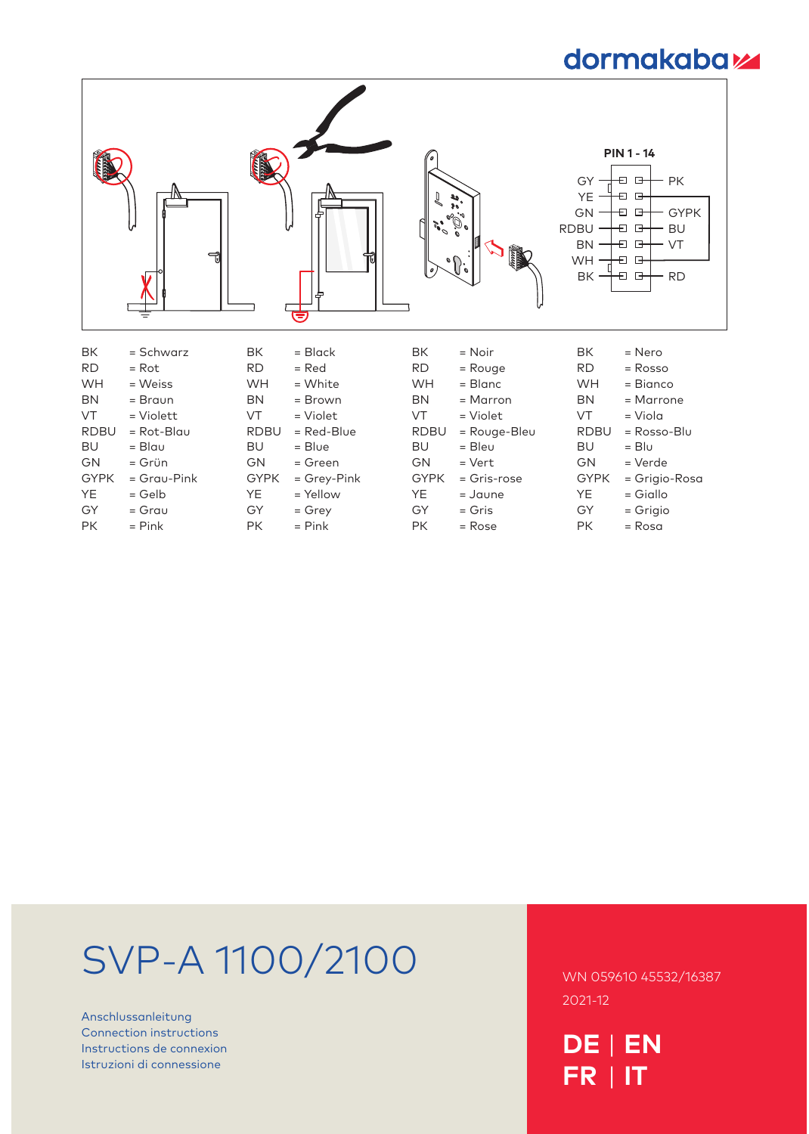## dormakaba<sub>z</sub>



## SVP-A 1100/2100

Anschlussanleitung Connection instructions Instructions de connexion Istruzioni di connessione

WN 059610 45532/16387 2021-12

**DE** | **EN FR** | **IT**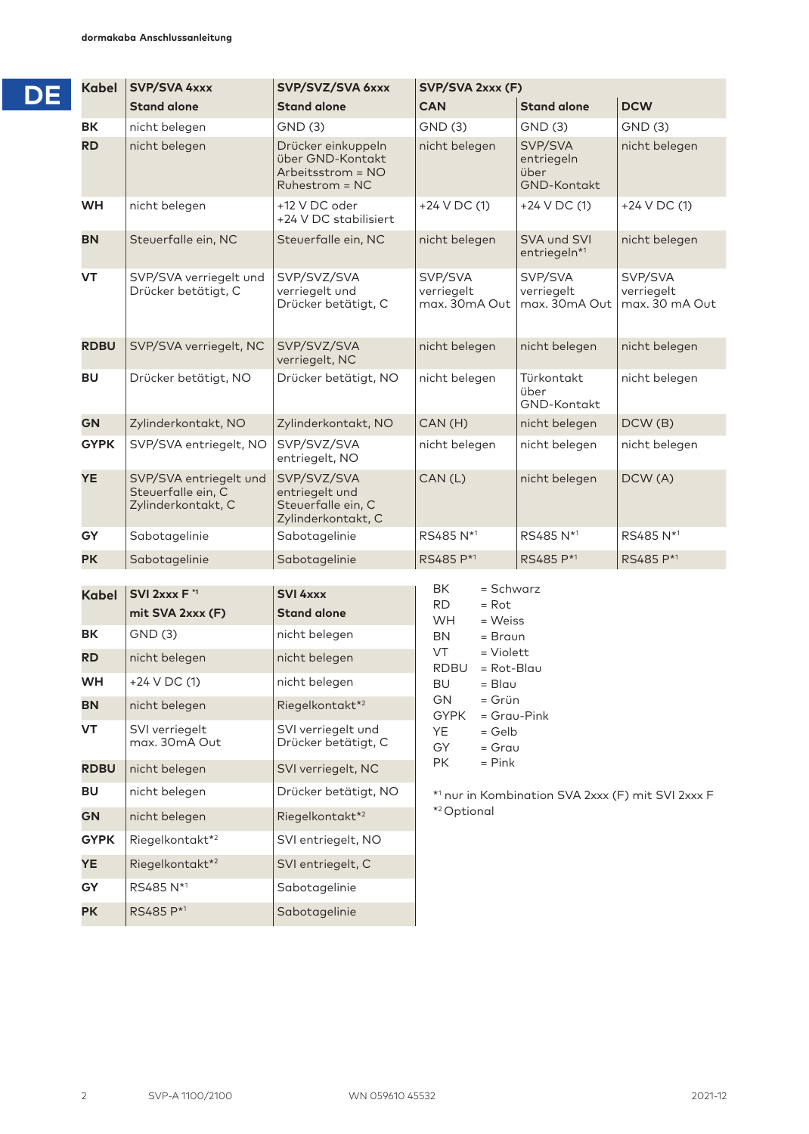**DE**

| <b>Kabel</b> | <b>SVP/SVA 4xxx</b>                                                | SVP/SVZ/SVA 6xxx                                                                | SVP/SVA 2xxx (F)                       |                                                     |                                         |
|--------------|--------------------------------------------------------------------|---------------------------------------------------------------------------------|----------------------------------------|-----------------------------------------------------|-----------------------------------------|
|              | <b>Stand alone</b>                                                 | <b>Stand alone</b>                                                              | <b>CAN</b>                             | <b>Stand alone</b>                                  | <b>DCW</b>                              |
| <b>BK</b>    | nicht belegen                                                      | GND (3)                                                                         | GND (3)                                | GND (3)                                             | GND (3)                                 |
| <b>RD</b>    | nicht belegen                                                      | Drücker einkuppeln<br>über GND-Kontakt<br>Arbeitsstrom = NO<br>$Ruhestrom = NC$ | nicht belegen                          | SVP/SVA<br>entriegeln<br>über<br><b>GND-Kontakt</b> | nicht belegen                           |
| <b>WH</b>    | nicht belegen                                                      | +12 V DC oder<br>+24 V DC stabilisiert                                          | $+24$ V DC (1)                         | +24 V DC (1)                                        | +24 V DC (1)                            |
| <b>BN</b>    | Steuerfalle ein, NC                                                | Steuerfalle ein, NC                                                             | nicht belegen                          | SVA und SVI<br>entriegeln <sup>*1</sup>             | nicht belegen                           |
| <b>VT</b>    | SVP/SVA verriegelt und<br>Drücker betätigt, C                      | SVP/SVZ/SVA<br>verriegelt und<br>Drücker betätigt, C                            | SVP/SVA<br>verriegelt<br>max. 30mA Out | SVP/SVA<br>verriegelt<br>max. 30mA Out              | SVP/SVA<br>verriegelt<br>max. 30 mA Out |
| <b>RDBU</b>  | SVP/SVA verriegelt, NC                                             | SVP/SVZ/SVA<br>verriegelt, NC                                                   | nicht belegen                          | nicht belegen                                       | nicht belegen                           |
| <b>BU</b>    | Drücker betätigt, NO                                               | Drücker betätigt, NO                                                            | nicht belegen                          | Türkontakt<br>über<br><b>GND-Kontakt</b>            | nicht belegen                           |
| <b>GN</b>    | Zylinderkontakt, NO                                                | Zylinderkontakt, NO                                                             | CAN(H)                                 | nicht belegen                                       | DCW(B)                                  |
| <b>GYPK</b>  | SVP/SVA entriegelt, NO                                             | SVP/SVZ/SVA<br>entriegelt, NO                                                   | nicht belegen                          | nicht belegen                                       | nicht belegen                           |
| <b>YE</b>    | SVP/SVA entriegelt und<br>Steuerfalle ein, C<br>Zylinderkontakt, C | SVP/SVZ/SVA<br>entriegelt und<br>Steuerfalle ein, C<br>Zylinderkontakt, C       | CAN(L)                                 | nicht belegen                                       | DCW(A)                                  |
| GY           | Sabotagelinie                                                      | Sabotagelinie                                                                   | RS485 N*1                              | RS485 N*1                                           | RS485 N*1                               |
| <b>PK</b>    | Sabotagelinie                                                      | Sabotagelinie                                                                   | RS485 P*1                              | RS485 P*1                                           | RS485 P*1                               |

| <b>Kabel</b> | SVI 2xxx F <sup>*1</sup><br>mit SVA 2xxx (F) | SVI 4xxx<br><b>Stand alone</b>            | BK.<br>RD.<br><b>WH</b>           | $=$ Schwarz<br>$= Rot$<br>$=$ Weiss |
|--------------|----------------------------------------------|-------------------------------------------|-----------------------------------|-------------------------------------|
| <b>BK</b>    | GND (3)                                      | nicht belegen                             | <b>BN</b>                         | $=$ Braun                           |
| <b>RD</b>    | nicht belegen                                | nicht belegen                             | VT<br>RDBU                        | $=$ Violett<br>= Rot-Blau           |
| <b>WH</b>    | $+24$ V DC (1)                               | nicht belegen                             | <b>BU</b>                         | $=$ Blau                            |
| <b>BN</b>    | nicht belegen                                | Riegelkontakt <sup>*2</sup>               | GN.<br><b>GYPK</b>                | = Grün<br>= Grau-Pink               |
| VT           | SVI verriegelt<br>max. 30mA Out              | SVI verriegelt und<br>Drücker betätigt, C | YE.<br>GY.                        | = Gelb<br>= Grau                    |
| <b>RDBU</b>  | nicht belegen                                | SVI verriegelt, NC                        | PK.                               | $=$ Pink                            |
| <b>BU</b>    | nicht belegen                                | Drücker betätigt, NO                      | * <sup>1</sup> nur in Kombinatior |                                     |
| <b>GN</b>    | nicht belegen                                | Riegelkontakt <sup>*2</sup>               | * <sup>2</sup> Optional           |                                     |
| <b>GYPK</b>  | Riegelkontakt <sup>*2</sup>                  | SVI entriegelt, NO                        |                                   |                                     |
| <b>YE</b>    | Riegelkontakt <sup>*2</sup>                  | SVI entriegelt, C                         |                                   |                                     |
| <b>GY</b>    | RS485 N*1                                    | Sabotagelinie                             |                                   |                                     |
| <b>PK</b>    | RS485 P*1                                    | Sabotagelinie                             |                                   |                                     |

ation SVA 2xxx (F) mit SVI 2xxx F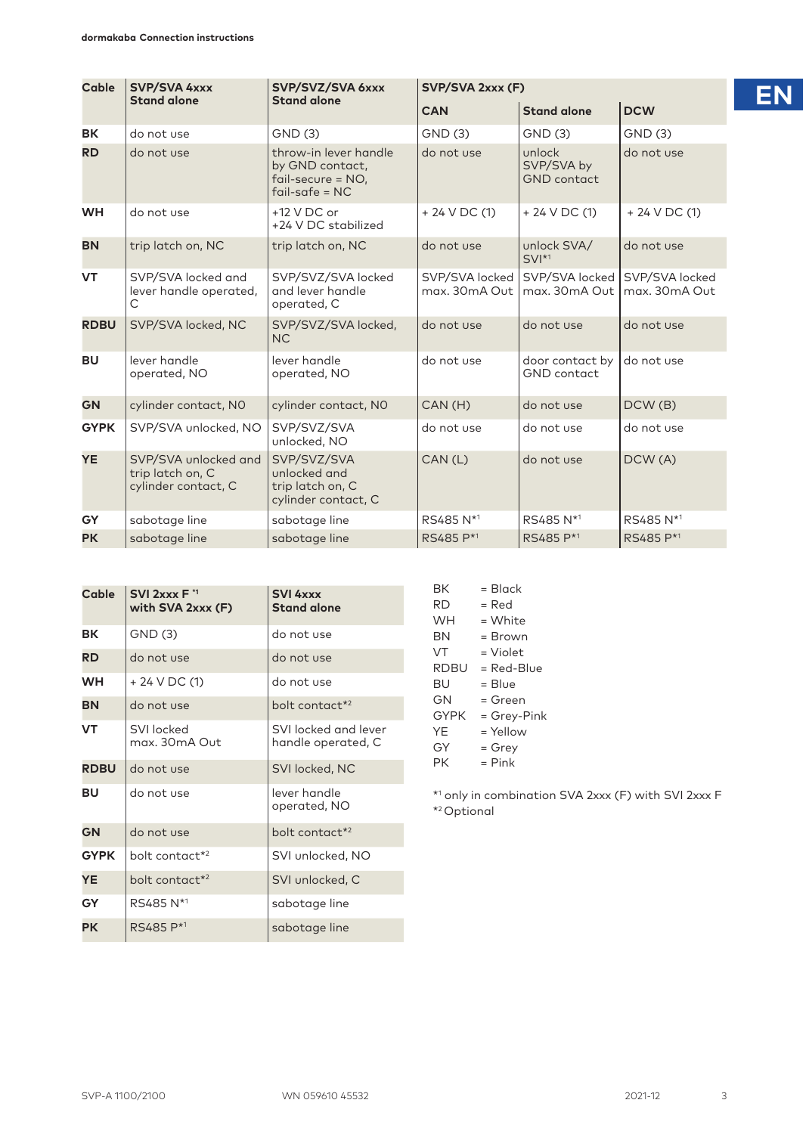| <b>Cable</b> | <b>SVP/SVA 4xxx</b>                                             | SVP/SVZ/SVA 6xxx                                                                                  |                                 | SVP/SVA 2xxx (F)                           |                                 |  |
|--------------|-----------------------------------------------------------------|---------------------------------------------------------------------------------------------------|---------------------------------|--------------------------------------------|---------------------------------|--|
|              | <b>Stand alone</b>                                              | <b>Stand alone</b>                                                                                | <b>CAN</b>                      | <b>Stand alone</b>                         | <b>DCW</b>                      |  |
| <b>BK</b>    | do not use                                                      | GND (3)                                                                                           | GND (3)                         | GND (3)                                    | GND(3)                          |  |
| <b>RD</b>    | do not use                                                      | throw-in lever handle<br>by GND contact,<br>$fail\text{-}secure = NO,$<br>$fail\text{-}safe = NC$ | do not use                      | unlock<br>SVP/SVA by<br><b>GND</b> contact | do not use                      |  |
| <b>WH</b>    | do not use                                                      | $+12$ V DC or<br>+24 V DC stabilized                                                              | $+ 24 VDC(1)$                   | $+24$ V DC (1)                             | $+ 24 VDC(1)$                   |  |
| <b>BN</b>    | trip latch on, NC                                               | trip latch on, NC                                                                                 | do not use                      | unlock SVA/<br>$SVI^{*1}$                  | do not use                      |  |
| <b>VT</b>    | SVP/SVA locked and<br>lever handle operated,<br>C               | SVP/SVZ/SVA locked<br>and lever handle<br>operated, C                                             | SVP/SVA locked<br>max. 30mA Out | SVP/SVA locked<br>max. 30mA Out            | SVP/SVA locked<br>max. 30mA Out |  |
| <b>RDBU</b>  | SVP/SVA locked, NC                                              | SVP/SVZ/SVA locked,<br>NC                                                                         | do not use                      | do not use                                 | do not use                      |  |
| <b>BU</b>    | lever handle<br>operated, NO                                    | lever handle<br>operated, NO                                                                      | do not use                      | door contact by<br><b>GND</b> contact      | do not use                      |  |
| <b>GN</b>    | cylinder contact, NO                                            | cylinder contact, NO                                                                              | CAN(H)                          | do not use                                 | DCW(B)                          |  |
| <b>GYPK</b>  | SVP/SVA unlocked, NO                                            | SVP/SVZ/SVA<br>unlocked, NO                                                                       | do not use                      | do not use                                 | do not use                      |  |
| <b>YE</b>    | SVP/SVA unlocked and<br>trip latch on, C<br>cylinder contact, C | SVP/SVZ/SVA<br>unlocked and<br>trip latch on, C<br>cylinder contact, C                            | CAN(L)                          | do not use                                 | DCW(A)                          |  |
| GY           | sabotage line                                                   | sabotage line                                                                                     | RS485 N*1                       | RS485 N*1                                  | RS485 N*1                       |  |
| <b>PK</b>    | sabotage line                                                   | sabotage line                                                                                     | RS485 P*1                       | RS485 P*1                                  | RS485 P*1                       |  |

| <b>Cable</b> | <b>SVI 2xxx F *1</b><br>with SVA 2xxx (F) | SVI 4xxx<br><b>Stand alone</b>             | <b>BK</b><br>RD.<br><b>WH</b>                 |
|--------------|-------------------------------------------|--------------------------------------------|-----------------------------------------------|
| <b>BK</b>    | GND (3)                                   | do not use                                 | <b>BN</b>                                     |
| <b>RD</b>    | do not use                                | do not use                                 | VT<br><b>RDBU</b>                             |
| <b>WH</b>    | $+ 24 VDC(1)$                             | do not use                                 | <b>BU</b>                                     |
| <b>BN</b>    | do not use                                | bolt contact <sup>*2</sup>                 | <b>GN</b><br><b>GYPK</b>                      |
| VT           | SVI locked<br>max. 30mA Out               | SVI locked and lever<br>handle operated, C | YF<br>GY                                      |
| <b>RDBU</b>  | do not use                                | SVI locked, NC                             | <b>PK</b>                                     |
| <b>BU</b>    | do not use                                | lever handle<br>operated, NO               | * <sup>1</sup> only i<br>* <sup>2</sup> Optic |
| GN           | do not use                                | bolt contact <sup>*2</sup>                 |                                               |
| <b>GYPK</b>  | bolt contact <sup>*2</sup>                | SVI unlocked, NO                           |                                               |
| <b>YE</b>    | bolt contact <sup>*2</sup>                | SVI unlocked, C                            |                                               |
| <b>GY</b>    | RS485 N*1                                 | sabotage line                              |                                               |
| <b>PK</b>    | RS485 P*1                                 | sabotage line                              |                                               |

| BК          | $=$ Black   |
|-------------|-------------|
| RD          | = Red       |
| <b>WH</b>   | = White     |
| <b>BN</b>   | = Brown     |
| VT          | $=$ Violet  |
| RDBU        | = Red-Blue  |
| BU          | = Blue      |
| GN          | = Green     |
| <b>GYPK</b> | = Grey-Pink |
| YΕ          | = Yellow    |
| GY          | = Grey      |
| PК          | = Pink      |

in combination SVA 2xxx (F) with SVI 2xxx F onal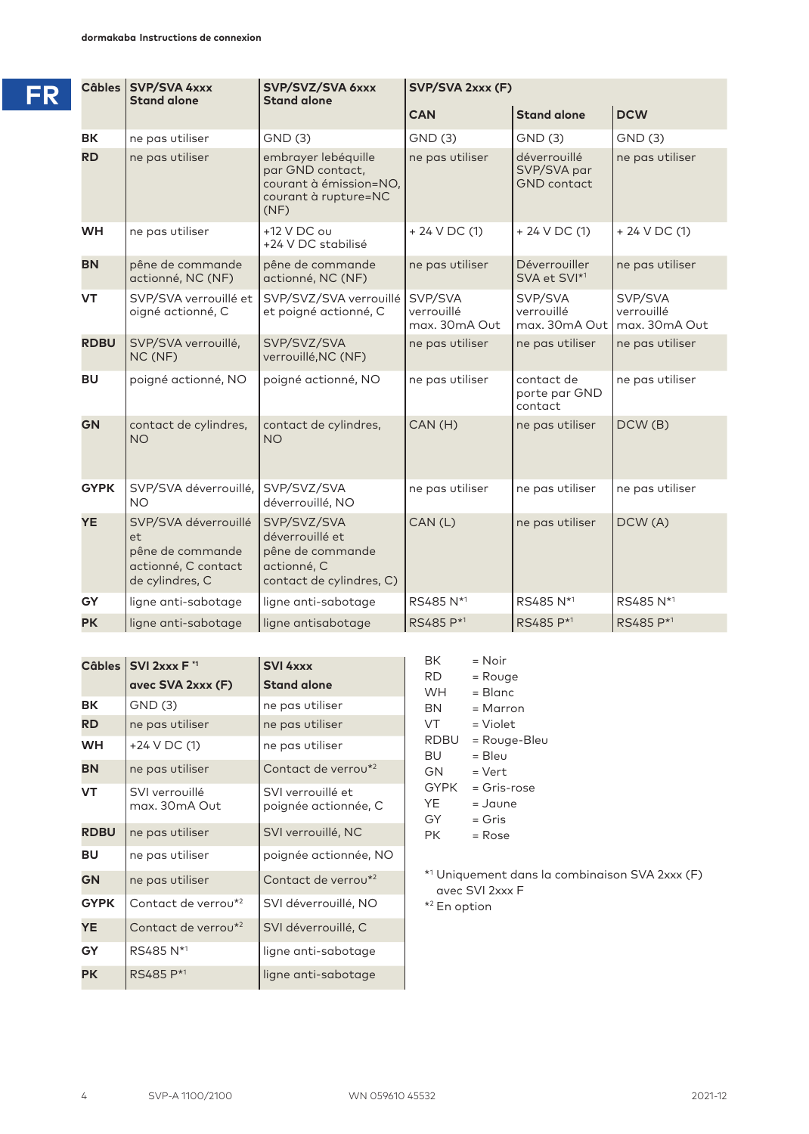## **FR Câbles SVP/SVA 4xxx**

|             | Câbles   SVP/SVA 4xxx<br><b>Stand alone</b>                                              | SVP/SVZ/SVA 6xxx<br><b>Stand alone</b>                                                            | SVP/SVA 2xxx (F)                       |                                                   |                                        |
|-------------|------------------------------------------------------------------------------------------|---------------------------------------------------------------------------------------------------|----------------------------------------|---------------------------------------------------|----------------------------------------|
|             |                                                                                          |                                                                                                   | <b>CAN</b>                             | <b>Stand alone</b>                                | <b>DCW</b>                             |
| <b>BK</b>   | ne pas utiliser                                                                          | GND (3)                                                                                           | GND (3)                                | GND (3)                                           | GND (3)                                |
| <b>RD</b>   | ne pas utiliser                                                                          | embrayer lebéquille<br>par GND contact,<br>courant à émission=NO,<br>courant à rupture=NC<br>(NF) | ne pas utiliser                        | déverrouillé<br>SVP/SVA par<br><b>GND</b> contact | ne pas utiliser                        |
| <b>WH</b>   | ne pas utiliser                                                                          | +12 V DC ou<br>+24 V DC stabilisé                                                                 | $+ 24 VDC(1)$                          | $+ 24 VDC(1)$                                     | $+ 24 VDC(1)$                          |
| <b>BN</b>   | pêne de commande<br>actionné, NC (NF)                                                    | pêne de commande<br>actionné, NC (NF)                                                             | ne pas utiliser                        | Déverrouiller<br>SVA et SVI*1                     | ne pas utiliser                        |
| <b>VT</b>   | SVP/SVA verrouillé et<br>oigné actionné, C                                               | SVP/SVZ/SVA verrouillé<br>et poigné actionné, C                                                   | SVP/SVA<br>verrouillé<br>max. 30mA Out | SVP/SVA<br>verrouillé<br>max. 30mA Out            | SVP/SVA<br>verrouillé<br>max. 30mA Out |
| <b>RDBU</b> | SVP/SVA verrouillé,<br>NC (NF)                                                           | SVP/SVZ/SVA<br>verrouillé, NC (NF)                                                                | ne pas utiliser                        | ne pas utiliser                                   | ne pas utiliser                        |
| <b>BU</b>   | poigné actionné, NO                                                                      | poigné actionné, NO                                                                               | ne pas utiliser                        | contact de<br>porte par GND<br>contact            | ne pas utiliser                        |
| <b>GN</b>   | contact de cylindres,<br><b>NO</b>                                                       | contact de cylindres,<br><b>NO</b>                                                                | CAN(H)                                 | ne pas utiliser                                   | DCW(B)                                 |
| <b>GYPK</b> | SVP/SVA déverrouillé,<br><b>NO</b>                                                       | SVP/SVZ/SVA<br>déverrouillé, NO                                                                   | ne pas utiliser                        | ne pas utiliser                                   | ne pas utiliser                        |
| <b>YE</b>   | SVP/SVA déverrouillé<br>et<br>pêne de commande<br>actionné, C contact<br>de cylindres, C | SVP/SVZ/SVA<br>déverrouillé et<br>pêne de commande<br>actionné, C<br>contact de cylindres, C)     | CAN(L)                                 | ne pas utiliser                                   | DCW(A)                                 |
| GY          | ligne anti-sabotage                                                                      | ligne anti-sabotage                                                                               | RS485 N*1                              | RS485 N*1                                         | RS485 N*1                              |
| <b>PK</b>   | ligne anti-sabotage                                                                      | ligne antisabotage                                                                                | RS485 P*1                              | RS485 P*1                                         | RS485 P*1                              |

|             | Câbles SVI 2xxx F *1<br>avec SVA 2xxx (F) | <b>SVI 4xxx</b><br><b>Stand alone</b>     |
|-------------|-------------------------------------------|-------------------------------------------|
| <b>BK</b>   | GND (3)                                   | ne pas utiliser                           |
| <b>RD</b>   | ne pas utiliser                           | ne pas utiliser                           |
| <b>WH</b>   | +24 V DC (1)                              | ne pas utiliser                           |
| <b>BN</b>   | ne pas utiliser                           | Contact de verrou* <sup>2</sup>           |
| VT          | SVI verrouillé<br>max. 30mA Out           | SVI verrouillé et<br>poignée actionnée, C |
| <b>RDBU</b> | ne pas utiliser                           | SVI verrouillé, NC                        |
| BU          | ne pas utiliser                           | poignée actionnée, NO                     |
| <b>GN</b>   | ne pas utiliser                           | Contact de verrou* <sup>2</sup>           |
| <b>GYPK</b> | Contact de verrou* <sup>2</sup>           | SVI déverrouillé, NO                      |
| <b>YE</b>   | Contact de verrou* <sup>2</sup>           | SVI déverrouillé, C                       |
| GY          | RS485 N <sup>*1</sup>                     | ligne anti-sabotage                       |
| <b>PK</b>   | RS485 P <sup>*1</sup>                     | ligne anti-sabotage                       |

| BК          | = Noir       |
|-------------|--------------|
| RD          | = Rouge      |
| WH          | = Blanc      |
| BN          | = Marron     |
| VT          | = Violet     |
| <b>RDBU</b> | = Rouge-Bleu |
| BU          | = Bleu       |
| GN          | = Vert       |
| <b>GYPK</b> | = Gris-rose  |
| YΕ          | = Jaune      |
| GY          | = Gris       |
| PК          | = Rose       |

\*1 Uniquement dans la combinaison SVA 2xxx (F) avec SVI 2xxx F

\*2 En option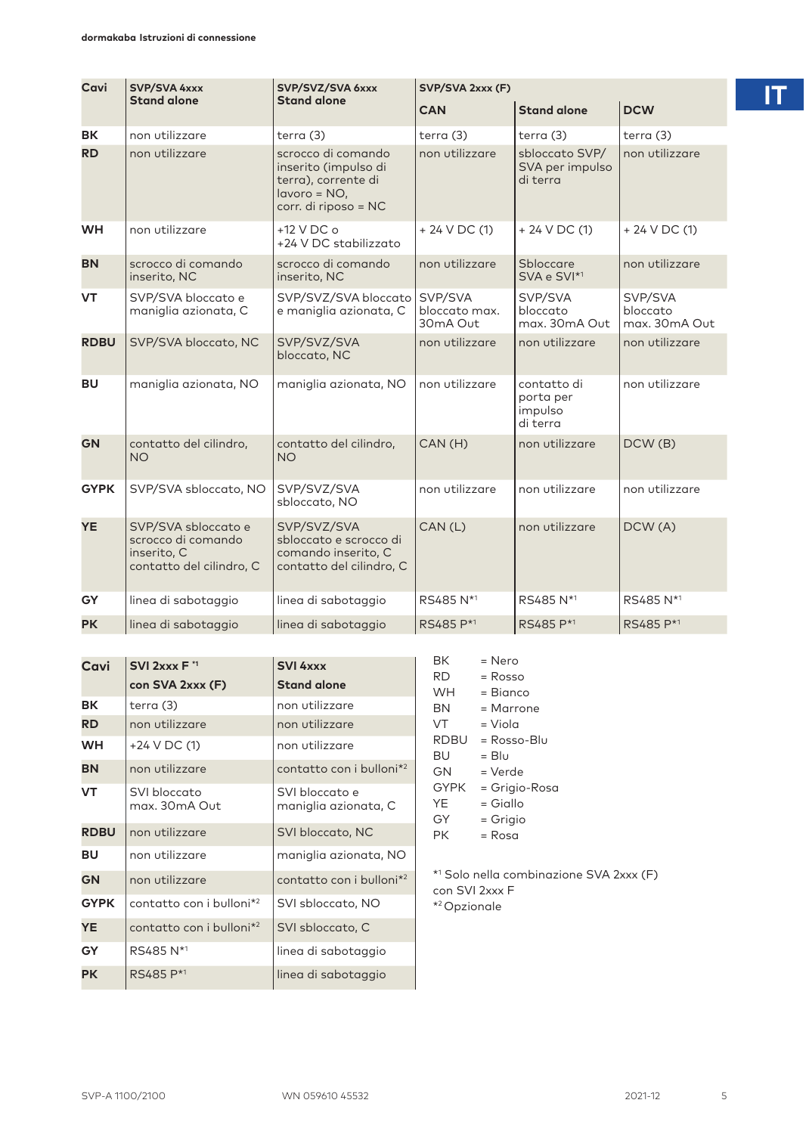| Cavi        | <b>SVP/SVA 4xxx</b>                                                                  | SVP/SVZ/SVA 6xxx                                                                                            | SVP/SVA 2xxx (F)          |                                                 |                                      |
|-------------|--------------------------------------------------------------------------------------|-------------------------------------------------------------------------------------------------------------|---------------------------|-------------------------------------------------|--------------------------------------|
|             | <b>Stand alone</b>                                                                   | <b>Stand alone</b>                                                                                          | <b>CAN</b>                | <b>Stand alone</b>                              | <b>DCW</b>                           |
| <b>BK</b>   | non utilizzare                                                                       | terra $(3)$                                                                                                 | terra $(3)$               | terra $(3)$                                     | terra $(3)$                          |
| <b>RD</b>   | non utilizzare                                                                       | scrocco di comando<br>inserito (impulso di<br>terra), corrente di<br>$lavoro = NO,$<br>corr. di riposo = NC | non utilizzare            | sbloccato SVP/<br>SVA per impulso<br>di terra   | non utilizzare                       |
| <b>WH</b>   | non utilizzare                                                                       | $+12$ V DC o<br>+24 V DC stabilizzato                                                                       | $+ 24 VDC(1)$             | $+ 24 VDC(1)$                                   | $+ 24 VDC(1)$                        |
| <b>BN</b>   | scrocco di comando<br>inserito, NC                                                   | scrocco di comando<br>inserito, NC                                                                          | non utilizzare            | Sbloccare<br>SVA e SVI*1                        | non utilizzare                       |
| <b>VT</b>   | SVP/SVA bloccato e<br>maniglia azionata, C                                           | SVP/SVZ/SVA bloccato SVP/SVA<br>e maniglia azionata, C                                                      | bloccato max.<br>30mA Out | SVP/SVA<br>bloccato<br>max. 30mA Out            | SVP/SVA<br>bloccato<br>max. 30mA Out |
| <b>RDBU</b> | SVP/SVA bloccato, NC                                                                 | SVP/SVZ/SVA<br>bloccato, NC                                                                                 | non utilizzare            | non utilizzare                                  | non utilizzare                       |
| <b>BU</b>   | maniglia azionata, NO                                                                | maniglia azionata, NO                                                                                       | non utilizzare            | contatto di<br>porta per<br>impulso<br>di terra | non utilizzare                       |
| <b>GN</b>   | contatto del cilindro,<br>NO.                                                        | contatto del cilindro,<br><b>NO</b>                                                                         | CAN(H)                    | non utilizzare                                  | DCW(B)                               |
| <b>GYPK</b> | SVP/SVA sbloccato, NO                                                                | SVP/SVZ/SVA<br>sbloccato, NO                                                                                | non utilizzare            | non utilizzare                                  | non utilizzare                       |
| <b>YE</b>   | SVP/SVA sbloccato e<br>scrocco di comando<br>inserito, C<br>contatto del cilindro, C | SVP/SVZ/SVA<br>sbloccato e scrocco di<br>comando inserito, C<br>contatto del cilindro, C                    | CAN(L)                    | non utilizzare                                  | DCW(A)                               |
| GY          | linea di sabotaggio                                                                  | linea di sabotaggio                                                                                         | RS485 N*1                 | RS485 N*1                                       | RS485 N*1                            |
| <b>PK</b>   | linea di sabotaggio                                                                  | linea di sabotaggio                                                                                         | RS485 P*1                 | RS485 P*1                                       | RS485 P*1                            |

| Cavi        | SVI 2xxx F <sup>*1</sup><br>con SVA 2xxx (F) | SVI 4xxx<br><b>Stand alone</b>         | BК<br>RD.<br><b>WH</b>   |
|-------------|----------------------------------------------|----------------------------------------|--------------------------|
| BК          | terra $(3)$                                  | non utilizzare                         | BN.                      |
| <b>RD</b>   | non utilizzare                               | non utilizzare                         | VT                       |
| <b>WH</b>   | $+24$ V DC (1)                               | non utilizzare                         | <b>RDB</b><br>BU.        |
| <b>BN</b>   | non utilizzare                               | contatto con i bulloni <sup>*2</sup>   | <b>GN</b>                |
| VT          | SVI bloccato<br>max. 30mA Out                | SVI bloccato e<br>maniglia azionata, C | <b>GYPI</b><br>YE.<br>GY |
| <b>RDBU</b> | non utilizzare                               | SVI bloccato, NC                       | PK.                      |
| <b>BU</b>   | non utilizzare                               | maniglia azionata, NO                  |                          |
| <b>GN</b>   | non utilizzare                               | contatto con i bulloni* <sup>2</sup>   | $*1$ So<br>con 9         |
| <b>GYPK</b> | contatto con i bulloni* <sup>2</sup>         | SVI sbloccato, NO                      | $*^2$ Op                 |
| <b>YE</b>   | contatto con i bulloni <sup>*2</sup>         | SVI sbloccato, C                       |                          |
| <b>GY</b>   | RS485 N*1                                    | linea di sabotaggio                    |                          |
| <b>PK</b>   | RS485 P*1                                    | linea di sabotaggio                    |                          |

| BК          | = Nero        |
|-------------|---------------|
| RD          | = Rosso       |
| <b>WH</b>   | = Bianco      |
| BN          | = Marrone     |
| VT          | = Viola       |
| <b>RDBU</b> | = Rosso-Blu   |
| BU          | = Blu         |
| GN          | = Verde       |
| GYPK        | = Grigio-Rosa |
| YΕ          | = Giallo      |
| GY          | = Grigio      |
| PК          | = Rosa        |

olo nella combinazione SVA 2xxx (F) SVI 2xxx F ozionale

**IT**